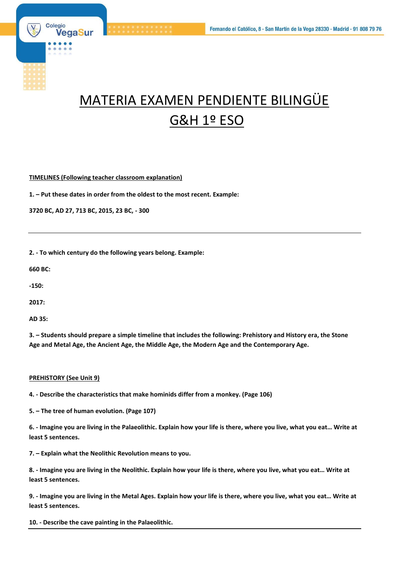

# MATERIA EXAMEN PENDIENTE BILINGÜE G&H 1º ESO

**TIMELINES (Following teacher classroom explanation)**

**1. – Put these dates in order from the oldest to the most recent. Example:**

**3720 BC, AD 27, 713 BC, 2015, 23 BC, - 300**

**2. - To which century do the following years belong. Example:**

**660 BC:**

**-150:**

**2017:**

**AD 35:**

**3. – Students should prepare a simple timeline that includes the following: Prehistory and History era, the Stone Age and Metal Age, the Ancient Age, the Middle Age, the Modern Age and the Contemporary Age.**

#### **PREHISTORY (See Unit 9)**

**4. - Describe the characteristics that make hominids differ from a monkey. (Page 106)**

**5. – The tree of human evolution. (Page 107)**

**6. - Imagine you are living in the Palaeolithic. Explain how your life is there, where you live, what you eat… Write at least 5 sentences.**

**7. – Explain what the Neolithic Revolution means to you.**

**8. - Imagine you are living in the Neolithic. Explain how your life is there, where you live, what you eat… Write at least 5 sentences.**

**9. - Imagine you are living in the Metal Ages. Explain how your life is there, where you live, what you eat… Write at least 5 sentences.**

**10. - Describe the cave painting in the Palaeolithic.**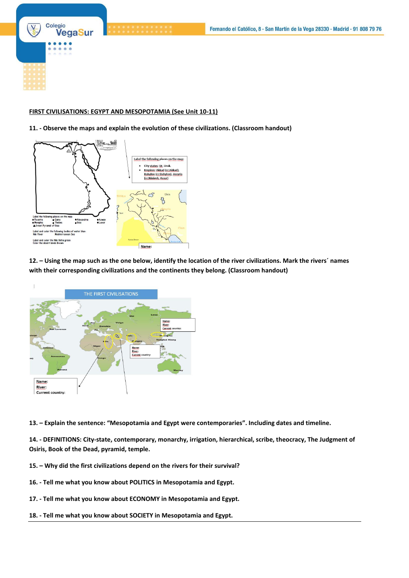Colegio VegaSur

### **FIRST CIVILISATIONS: EGYPT AND MESOPOTAMIA (See Unit 10-11)**

## **11. - Observe the maps and explain the evolution of these civilizations. (Classroom handout)**



**12. – Using the map such as the one below, identify the location of the river civilizations. Mark the rivers´ names with their corresponding civilizations and the continents they belong. (Classroom handout)**



**13. – Explain the sentence: "Mesopotamia and Egypt were contemporaries". Including dates and timeline.** 

**14. - DEFINITIONS: City-state, contemporary, monarchy, irrigation, hierarchical, scribe, theocracy, The Judgment of Osiris, Book of the Dead, pyramid, temple.**

- **15. – Why did the first civilizations depend on the rivers for their survival?**
- **16. - Tell me what you know about POLITICS in Mesopotamia and Egypt.**
- **17. - Tell me what you know about ECONOMY in Mesopotamia and Egypt.**
- **18. - Tell me what you know about SOCIETY in Mesopotamia and Egypt.**